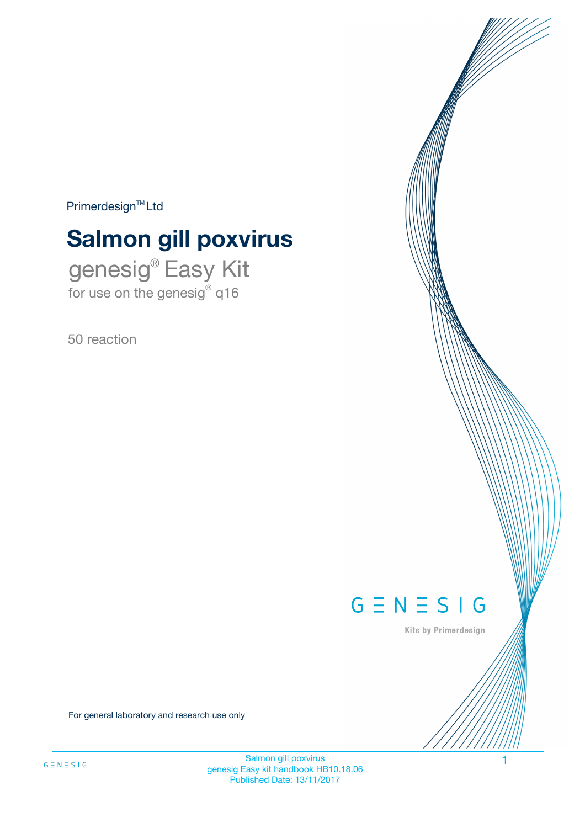$Primerdesign^{\text{TM}}Ltd$ 

# **Salmon gill poxvirus**

genesig® Easy Kit for use on the genesig® q16

50 reaction



Kits by Primerdesign

For general laboratory and research use only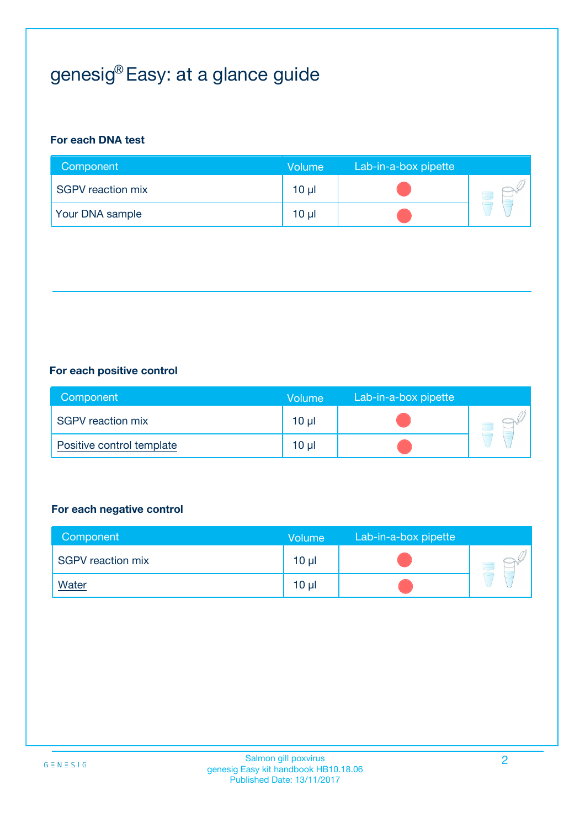# genesig® Easy: at a glance guide

## **For each DNA test**

| Component              | <b>Volume</b> | Lab-in-a-box pipette |  |
|------------------------|---------------|----------------------|--|
| SGPV reaction mix      | 10 µl         |                      |  |
| <b>Your DNA sample</b> | $10 \mu$      |                      |  |

## **For each positive control**

| Component                 | Volume          | Lab-in-a-box pipette |  |
|---------------------------|-----------------|----------------------|--|
| SGPV reaction mix         | 10 <sub>µ</sub> |                      |  |
| Positive control template | $10 \mu$        |                      |  |

## **For each negative control**

| Component         | <b>Volume</b>   | Lab-in-a-box pipette |  |
|-------------------|-----------------|----------------------|--|
| SGPV reaction mix | 10 <sub>µ</sub> |                      |  |
| <b>Water</b>      | 10 <sub>µ</sub> |                      |  |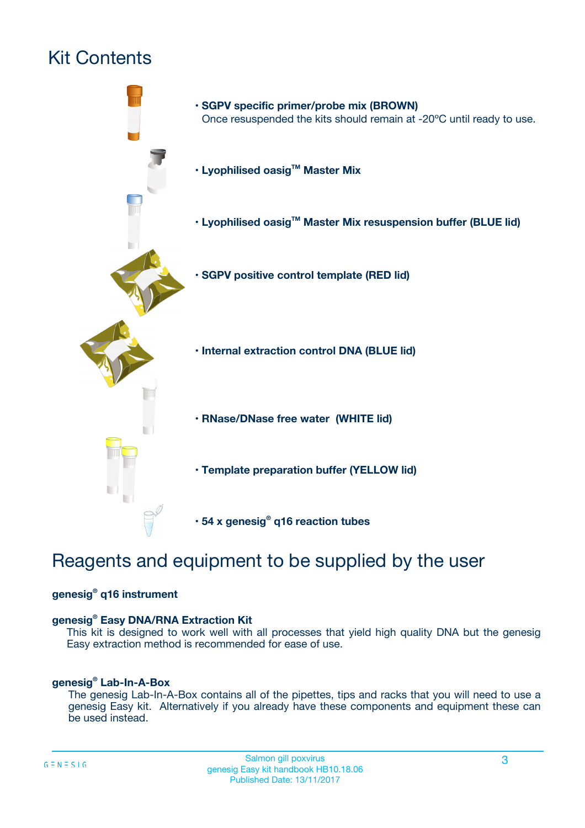# Kit Contents



# Reagents and equipment to be supplied by the user

## **genesig® q16 instrument**

## **genesig® Easy DNA/RNA Extraction Kit**

This kit is designed to work well with all processes that yield high quality DNA but the genesig Easy extraction method is recommended for ease of use.

## **genesig® Lab-In-A-Box**

The genesig Lab-In-A-Box contains all of the pipettes, tips and racks that you will need to use a genesig Easy kit. Alternatively if you already have these components and equipment these can be used instead.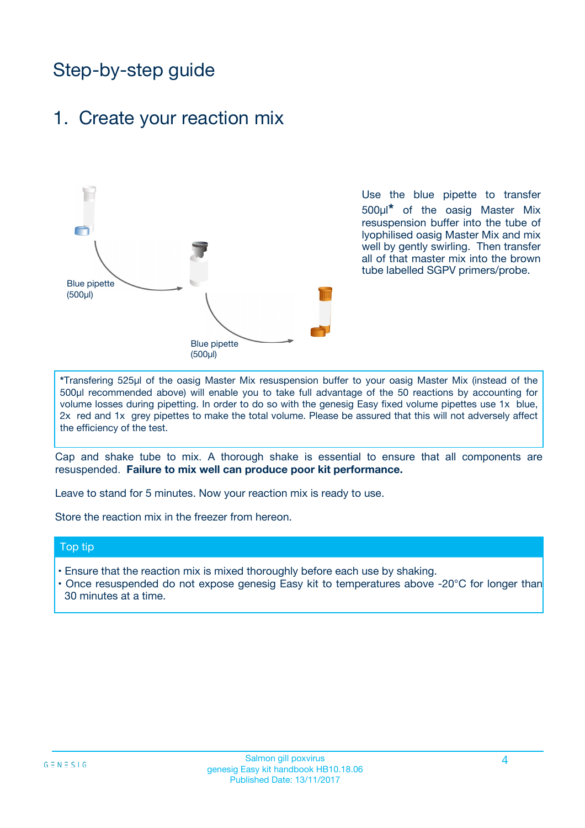# Step-by-step guide

## 1. Create your reaction mix



Use the blue pipette to transfer 500µl**\*** of the oasig Master Mix resuspension buffer into the tube of lyophilised oasig Master Mix and mix well by gently swirling. Then transfer all of that master mix into the brown tube labelled SGPV primers/probe.

**\***Transfering 525µl of the oasig Master Mix resuspension buffer to your oasig Master Mix (instead of the 500µl recommended above) will enable you to take full advantage of the 50 reactions by accounting for volume losses during pipetting. In order to do so with the genesig Easy fixed volume pipettes use 1x blue, 2x red and 1x grey pipettes to make the total volume. Please be assured that this will not adversely affect the efficiency of the test.

Cap and shake tube to mix. A thorough shake is essential to ensure that all components are resuspended. **Failure to mix well can produce poor kit performance.**

Leave to stand for 5 minutes. Now your reaction mix is ready to use.

Store the reaction mix in the freezer from hereon.

## Top tip

- Ensure that the reaction mix is mixed thoroughly before each use by shaking.
- Once resuspended do not expose genesig Easy kit to temperatures above -20°C for longer than 30 minutes at a time.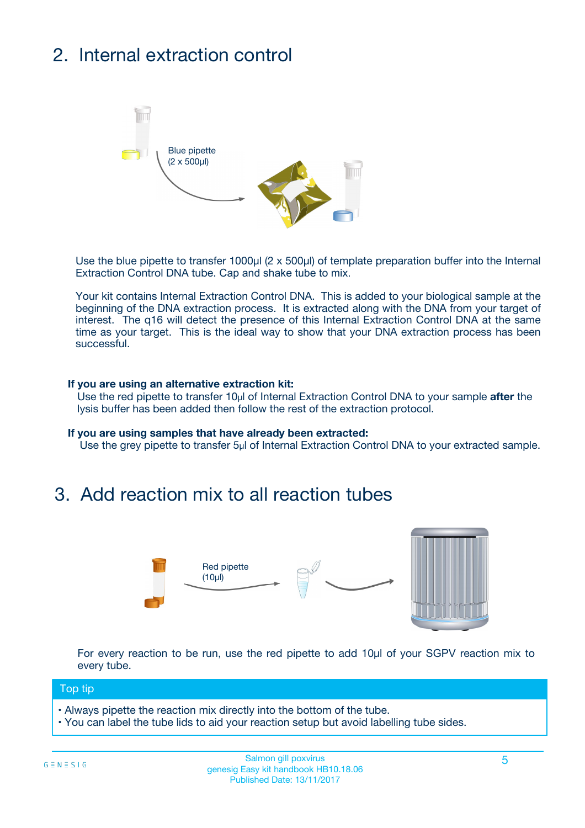# 2. Internal extraction control



Use the blue pipette to transfer 1000µl (2 x 500µl) of template preparation buffer into the Internal Extraction Control DNA tube. Cap and shake tube to mix.

Your kit contains Internal Extraction Control DNA. This is added to your biological sample at the beginning of the DNA extraction process. It is extracted along with the DNA from your target of interest. The q16 will detect the presence of this Internal Extraction Control DNA at the same time as your target. This is the ideal way to show that your DNA extraction process has been successful.

#### **If you are using an alternative extraction kit:**

Use the red pipette to transfer 10µl of Internal Extraction Control DNA to your sample **after** the lysis buffer has been added then follow the rest of the extraction protocol.

#### **If you are using samples that have already been extracted:**

Use the grey pipette to transfer 5µl of Internal Extraction Control DNA to your extracted sample.

## 3. Add reaction mix to all reaction tubes



For every reaction to be run, use the red pipette to add 10µl of your SGPV reaction mix to every tube.

### Top tip

- Always pipette the reaction mix directly into the bottom of the tube.
- You can label the tube lids to aid your reaction setup but avoid labelling tube sides.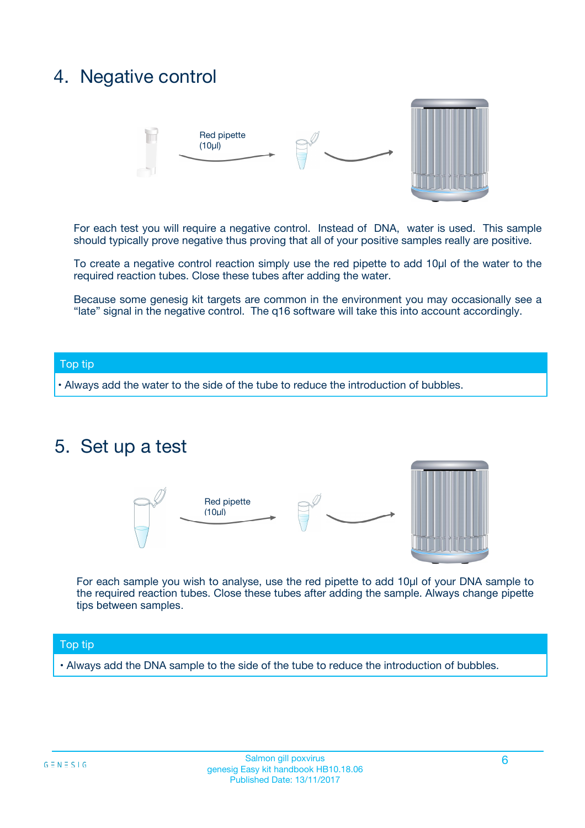## 4. Negative control



For each test you will require a negative control. Instead of DNA, water is used. This sample should typically prove negative thus proving that all of your positive samples really are positive.

To create a negative control reaction simply use the red pipette to add 10µl of the water to the required reaction tubes. Close these tubes after adding the water.

Because some genesig kit targets are common in the environment you may occasionally see a "late" signal in the negative control. The q16 software will take this into account accordingly.

## Top tip

**•** Always add the water to the side of the tube to reduce the introduction of bubbles.

## 5. Set up a test



For each sample you wish to analyse, use the red pipette to add 10µl of your DNA sample to the required reaction tubes. Close these tubes after adding the sample. Always change pipette tips between samples.

### Top tip

**•** Always add the DNA sample to the side of the tube to reduce the introduction of bubbles.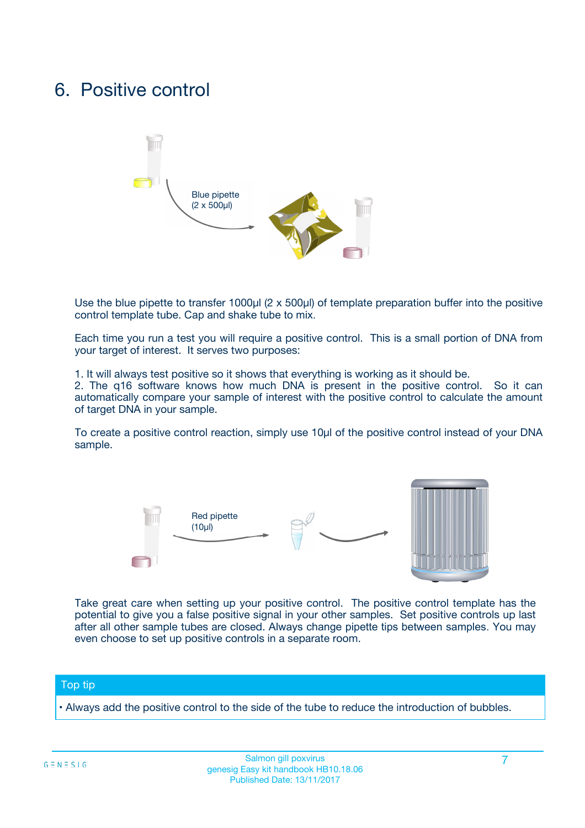## 6. Positive control



Use the blue pipette to transfer 1000µl (2 x 500µl) of template preparation buffer into the positive control template tube. Cap and shake tube to mix.

Each time you run a test you will require a positive control. This is a small portion of DNA from your target of interest. It serves two purposes:

1. It will always test positive so it shows that everything is working as it should be.

2. The q16 software knows how much DNA is present in the positive control. So it can automatically compare your sample of interest with the positive control to calculate the amount of target DNA in your sample.

To create a positive control reaction, simply use 10µl of the positive control instead of your DNA sample.



Take great care when setting up your positive control. The positive control template has the potential to give you a false positive signal in your other samples. Set positive controls up last after all other sample tubes are closed. Always change pipette tips between samples. You may even choose to set up positive controls in a separate room.

### Top tip

**•** Always add the positive control to the side of the tube to reduce the introduction of bubbles.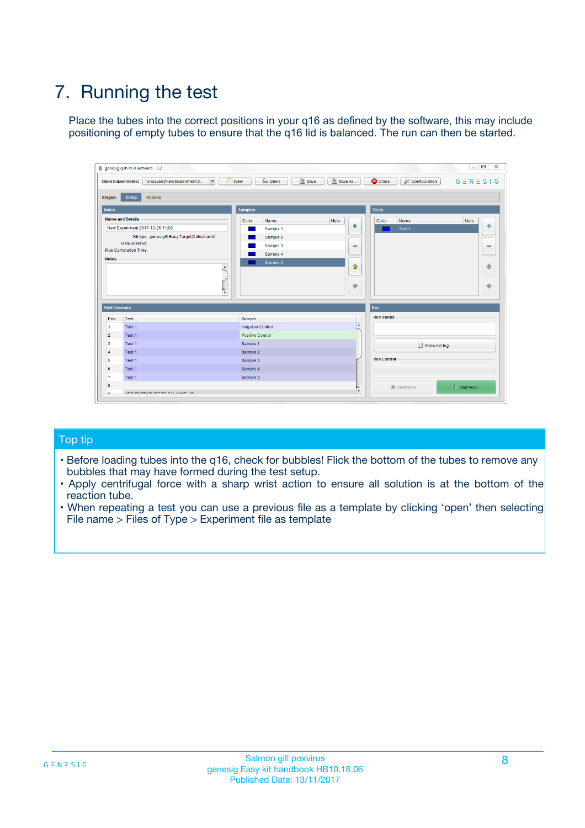# 7. Running the test

Place the tubes into the correct positions in your q16 as defined by the software, this may include positioning of empty tubes to ensure that the q16 lid is balanced. The run can then be started.

| genesig q16 PCR software - 1.2                        |                                                         | $\Box$                                                                                      |
|-------------------------------------------------------|---------------------------------------------------------|---------------------------------------------------------------------------------------------|
| <b>Open Experiments:</b><br>Unsaved (New Experiment 2 | <b>B</b> Open<br>$\Box$ New<br>$\overline{\phantom{a}}$ | Save<br>Save As<br>$G \equiv N \equiv S \mid G$<br><b>C</b> Close<br><b>X</b> Configuration |
| <b>Setup</b><br><b>Results</b><br><b>Stages:</b>      |                                                         |                                                                                             |
| <b>Notes</b>                                          | <b>Samples</b>                                          | <b>Tests</b>                                                                                |
| <b>Name and Details</b>                               | Color<br>Name                                           | Note<br>Note<br>Color<br>Name                                                               |
| New Experiment 2017-10-26 11:06                       | Sample 1                                                | $-$<br>علي<br>Test 1                                                                        |
| Kit type: genesig® Easy Target Detection kit          | Sample 2                                                |                                                                                             |
| Instrument Id.:                                       | Sample 3                                                | $\qquad \qquad \blacksquare$<br>$\qquad \qquad \blacksquare$                                |
| <b>Run Completion Time:</b><br><b>Notes</b>           | Sample 4                                                |                                                                                             |
|                                                       | Sample 5<br>$\blacktriangle$                            | $\triangle$<br>♠<br>⊕<br>⊕                                                                  |
| <b>Well Contents</b>                                  | $\overline{\mathbf{v}}$                                 | Run                                                                                         |
| Pos.<br>Test                                          | Sample                                                  | <b>Run Status</b>                                                                           |
| Test 1<br>$\overline{1}$                              | <b>Negative Control</b>                                 | A                                                                                           |
| $\overline{2}$<br>Test 1                              | Positive Control                                        |                                                                                             |
| $\overline{\mathbf{3}}$<br>Test 1                     | Sample 1                                                | Show full log                                                                               |
| Test 1<br>$\overline{4}$                              | Sample 2                                                |                                                                                             |
| 5<br>Test 1                                           | Sample 3                                                | <b>Run Control</b>                                                                          |
| 6<br>Test 1                                           | Sample 4                                                |                                                                                             |
| $\overline{7}$<br>Test 1                              | Sample 5                                                |                                                                                             |
| 8                                                     |                                                         | $\triangleright$ Start Run<br>Abort Run                                                     |
|                                                       | <b>JOD FURTY TUDE TO BUILDED IN</b>                     | v                                                                                           |

## Top tip

- Before loading tubes into the q16, check for bubbles! Flick the bottom of the tubes to remove any bubbles that may have formed during the test setup.
- Apply centrifugal force with a sharp wrist action to ensure all solution is at the bottom of the reaction tube.
- When repeating a test you can use a previous file as a template by clicking 'open' then selecting File name > Files of Type > Experiment file as template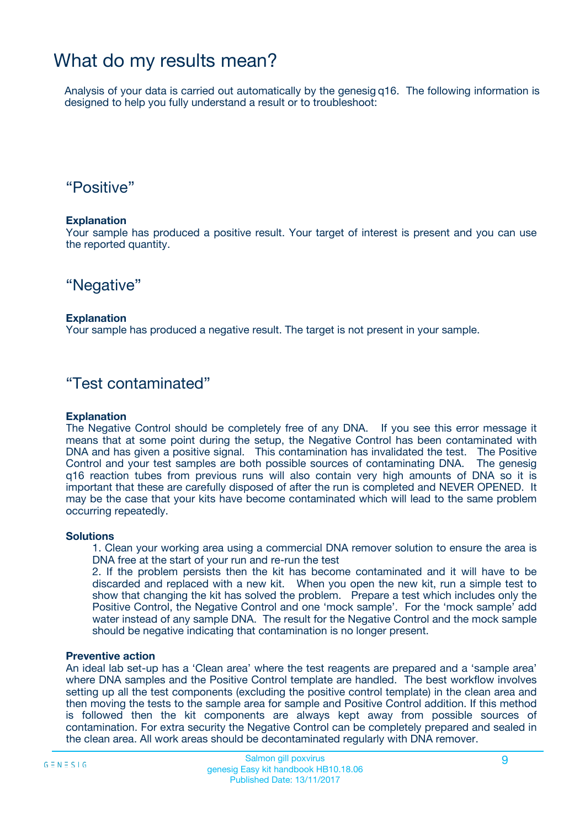## What do my results mean?

Analysis of your data is carried out automatically by the genesig q16. The following information is designed to help you fully understand a result or to troubleshoot:

## "Positive"

## **Explanation**

Your sample has produced a positive result. Your target of interest is present and you can use the reported quantity.

## "Negative"

## **Explanation**

Your sample has produced a negative result. The target is not present in your sample.

## "Test contaminated"

## **Explanation**

The Negative Control should be completely free of any DNA. If you see this error message it means that at some point during the setup, the Negative Control has been contaminated with DNA and has given a positive signal. This contamination has invalidated the test. The Positive Control and your test samples are both possible sources of contaminating DNA. The genesig q16 reaction tubes from previous runs will also contain very high amounts of DNA so it is important that these are carefully disposed of after the run is completed and NEVER OPENED. It may be the case that your kits have become contaminated which will lead to the same problem occurring repeatedly.

### **Solutions**

1. Clean your working area using a commercial DNA remover solution to ensure the area is DNA free at the start of your run and re-run the test

2. If the problem persists then the kit has become contaminated and it will have to be discarded and replaced with a new kit. When you open the new kit, run a simple test to show that changing the kit has solved the problem. Prepare a test which includes only the Positive Control, the Negative Control and one 'mock sample'. For the 'mock sample' add water instead of any sample DNA. The result for the Negative Control and the mock sample should be negative indicating that contamination is no longer present.

### **Preventive action**

An ideal lab set-up has a 'Clean area' where the test reagents are prepared and a 'sample area' where DNA samples and the Positive Control template are handled. The best workflow involves setting up all the test components (excluding the positive control template) in the clean area and then moving the tests to the sample area for sample and Positive Control addition. If this method is followed then the kit components are always kept away from possible sources of contamination. For extra security the Negative Control can be completely prepared and sealed in the clean area. All work areas should be decontaminated regularly with DNA remover.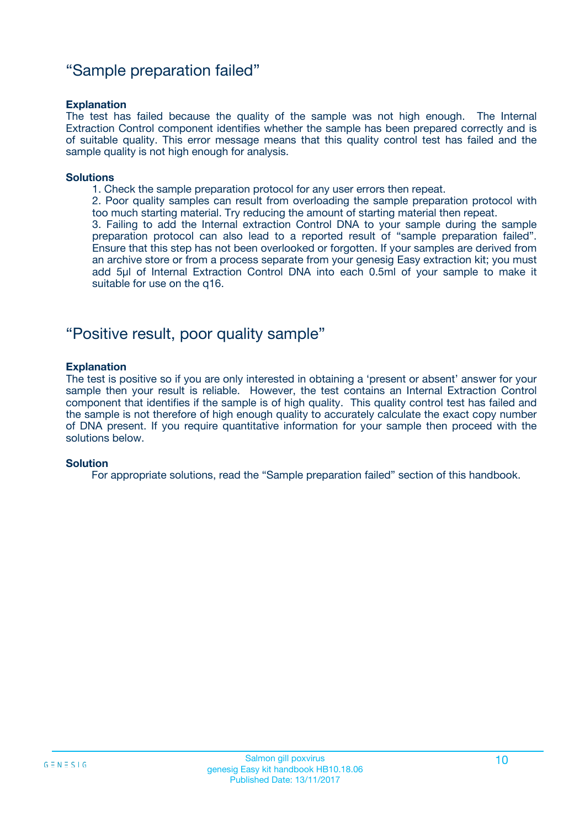## "Sample preparation failed"

## **Explanation**

The test has failed because the quality of the sample was not high enough. The Internal Extraction Control component identifies whether the sample has been prepared correctly and is of suitable quality. This error message means that this quality control test has failed and the sample quality is not high enough for analysis.

#### **Solutions**

1. Check the sample preparation protocol for any user errors then repeat.

2. Poor quality samples can result from overloading the sample preparation protocol with too much starting material. Try reducing the amount of starting material then repeat.

3. Failing to add the Internal extraction Control DNA to your sample during the sample preparation protocol can also lead to a reported result of "sample preparation failed". Ensure that this step has not been overlooked or forgotten. If your samples are derived from an archive store or from a process separate from your genesig Easy extraction kit; you must add 5µl of Internal Extraction Control DNA into each 0.5ml of your sample to make it suitable for use on the q16.

## "Positive result, poor quality sample"

### **Explanation**

The test is positive so if you are only interested in obtaining a 'present or absent' answer for your sample then your result is reliable. However, the test contains an Internal Extraction Control component that identifies if the sample is of high quality. This quality control test has failed and the sample is not therefore of high enough quality to accurately calculate the exact copy number of DNA present. If you require quantitative information for your sample then proceed with the solutions below.

### **Solution**

For appropriate solutions, read the "Sample preparation failed" section of this handbook.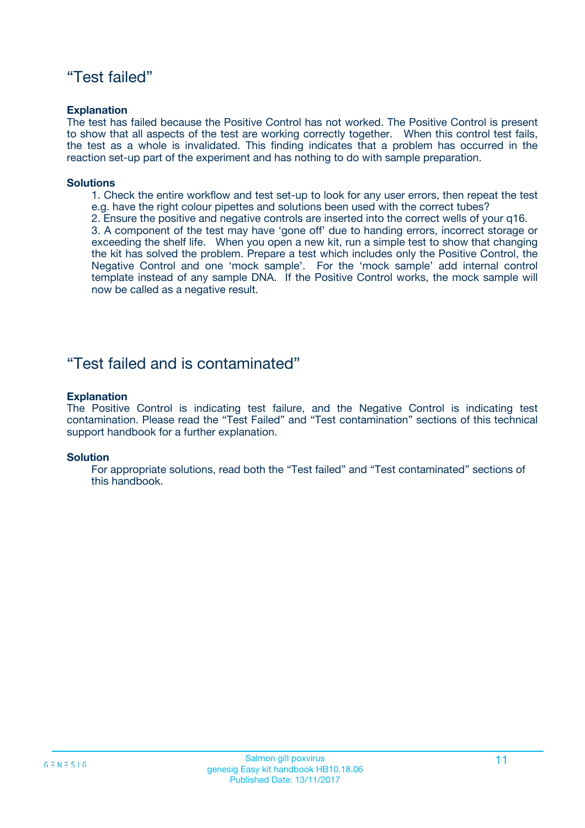## "Test failed"

## **Explanation**

The test has failed because the Positive Control has not worked. The Positive Control is present to show that all aspects of the test are working correctly together. When this control test fails, the test as a whole is invalidated. This finding indicates that a problem has occurred in the reaction set-up part of the experiment and has nothing to do with sample preparation.

## **Solutions**

- 1. Check the entire workflow and test set-up to look for any user errors, then repeat the test e.g. have the right colour pipettes and solutions been used with the correct tubes?
- 2. Ensure the positive and negative controls are inserted into the correct wells of your q16.

3. A component of the test may have 'gone off' due to handing errors, incorrect storage or exceeding the shelf life. When you open a new kit, run a simple test to show that changing the kit has solved the problem. Prepare a test which includes only the Positive Control, the Negative Control and one 'mock sample'. For the 'mock sample' add internal control template instead of any sample DNA. If the Positive Control works, the mock sample will now be called as a negative result.

## "Test failed and is contaminated"

## **Explanation**

The Positive Control is indicating test failure, and the Negative Control is indicating test contamination. Please read the "Test Failed" and "Test contamination" sections of this technical support handbook for a further explanation.

### **Solution**

For appropriate solutions, read both the "Test failed" and "Test contaminated" sections of this handbook.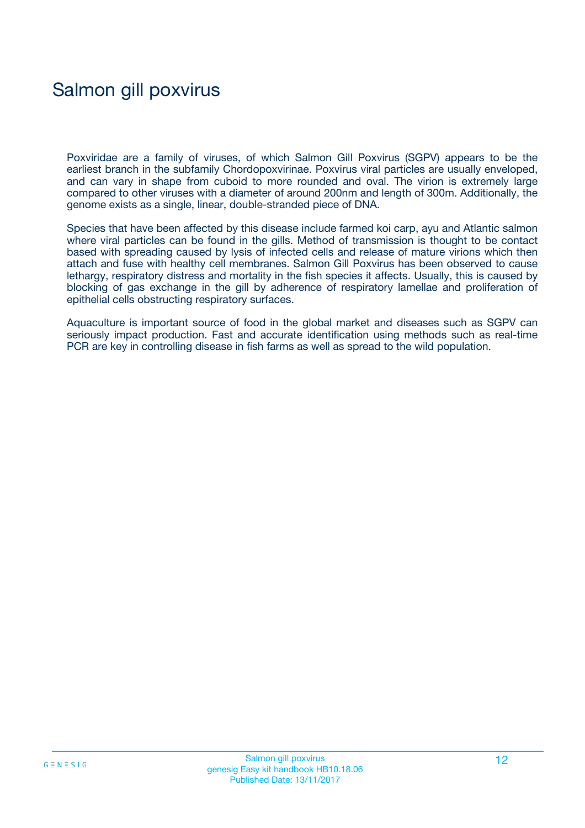# Salmon gill poxvirus

Poxviridae are a family of viruses, of which Salmon Gill Poxvirus (SGPV) appears to be the earliest branch in the subfamily Chordopoxvirinae. Poxvirus viral particles are usually enveloped, and can vary in shape from cuboid to more rounded and oval. The virion is extremely large compared to other viruses with a diameter of around 200nm and length of 300m. Additionally, the genome exists as a single, linear, double-stranded piece of DNA.

Species that have been affected by this disease include farmed koi carp, ayu and Atlantic salmon where viral particles can be found in the gills. Method of transmission is thought to be contact based with spreading caused by lysis of infected cells and release of mature virions which then attach and fuse with healthy cell membranes. Salmon Gill Poxvirus has been observed to cause lethargy, respiratory distress and mortality in the fish species it affects. Usually, this is caused by blocking of gas exchange in the gill by adherence of respiratory lamellae and proliferation of epithelial cells obstructing respiratory surfaces.

Aquaculture is important source of food in the global market and diseases such as SGPV can seriously impact production. Fast and accurate identification using methods such as real-time PCR are key in controlling disease in fish farms as well as spread to the wild population.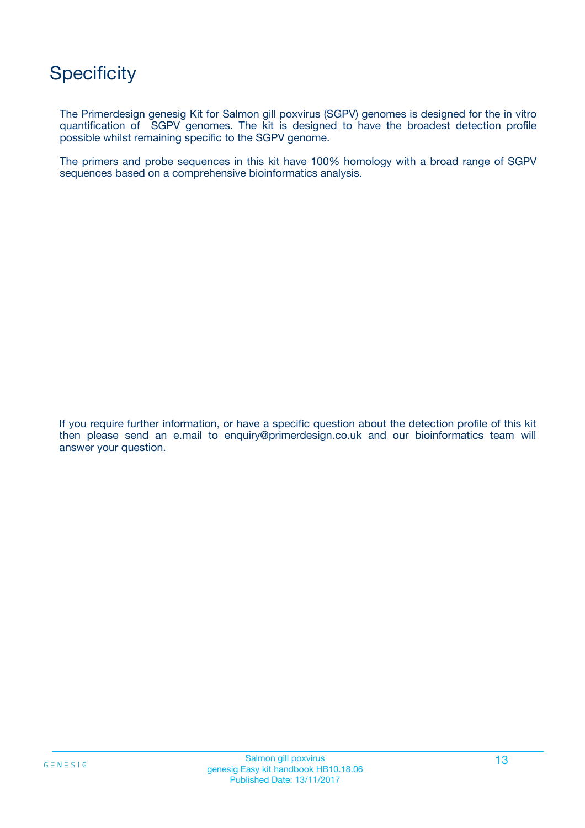# **Specificity**

The Primerdesign genesig Kit for Salmon gill poxvirus (SGPV) genomes is designed for the in vitro quantification of SGPV genomes. The kit is designed to have the broadest detection profile possible whilst remaining specific to the SGPV genome.

The primers and probe sequences in this kit have 100% homology with a broad range of SGPV sequences based on a comprehensive bioinformatics analysis.

If you require further information, or have a specific question about the detection profile of this kit then please send an e.mail to enquiry@primerdesign.co.uk and our bioinformatics team will answer your question.